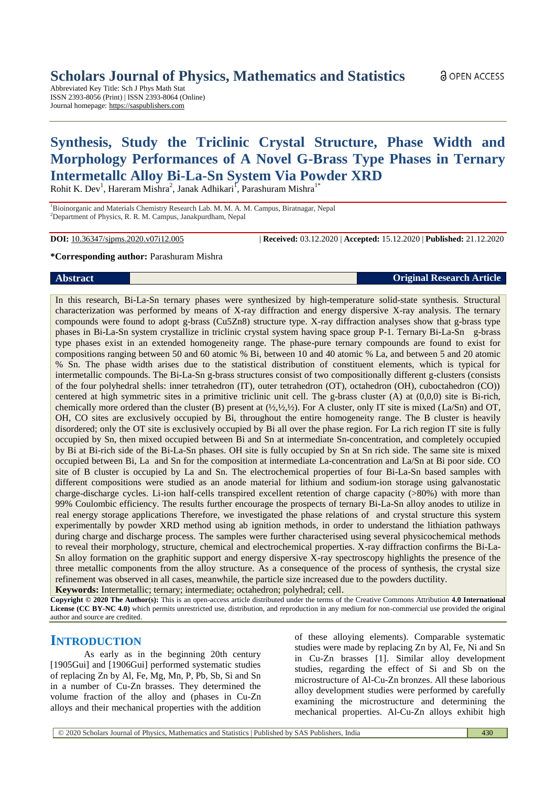Abbreviated Key Title: Sch J Phys Math Stat ISSN 2393-8056 (Print) | ISSN 2393-8064 (Online) Journal homepage: [https://saspublishers.com](https://saspublishers.com/sjpms/)

# **Synthesis, Study the Triclinic Crystal Structure, Phase Width and Morphology Performances of A Novel G-Brass Type Phases in Ternary Intermetallc Alloy Bi-La-Sn System Via Powder XRD**

Rohit K. Dev<sup>1</sup>, Hareram Mishra<sup>2</sup>, Janak Adhikari<sup>1</sup>, Parashuram Mishra<sup>1\*</sup>

<sup>1</sup>Bioinorganic and Materials Chemistry Research Lab. M. M. A. M. Campus, Biratnagar, Nepal <sup>2</sup>Department of Physics, R. R. M. Campus, Janakpurdham, Nepal

**DOI:** 10.36347/sjpms.2020.v07i12.005 | **Received:** 03.12.2020 | **Accepted:** 15.12.2020 | **Published:** 21.12.2020

#### **\*Corresponding author:** Parashuram Mishra

characterization was performed by means of X-ray diffraction and energy dispersive X-ray analysis. The ternary compounds were found to adopt g-brass (Cu5Zn8) structure type. X-ray diffraction analyses show that g-brass type phases in Bi-La-Sn system crystallize in triclinic crystal system having space group P-1. Ternary Bi-La-Sn g-brass type phases exist in an extended homogeneity range. The phase-pure ternary compounds are found to exist for compositions ranging between 50 and 60 atomic % Bi, between 10 and 40 atomic % La, and between 5 and 20 atomic % Sn. The phase width arises due to the statistical distribution of constituent elements, which is typical for intermetallic compounds. The Bi-La-Sn g-brass structures consist of two compositionally different g-clusters (consists of the four polyhedral shells: inner tetrahedron (IT), outer tetrahedron (OT), octahedron (OH), cuboctahedron (CO)) centered at high symmetric sites in a primitive triclinic unit cell. The g-brass cluster (A) at (0,0,0) site is Bi-rich, chemically more ordered than the cluster (B) present at  $(½, ½, ½)$ . For A cluster, only IT site is mixed (La/Sn) and OT, OH, CO sites are exclusively occupied by Bi, throughout the entire homogeneity range. The B cluster is heavily disordered; only the OT site is exclusively occupied by Bi all over the phase region. For La rich region IT site is fully occupied by Sn, then mixed occupied between Bi and Sn at intermediate Sn-concentration, and completely occupied by Bi at Bi-rich side of the Bi-La-Sn phases. OH site is fully occupied by Sn at Sn rich side. The same site is mixed occupied between Bi, La and Sn for the composition at intermediate La-concentration and La/Sn at Bi poor side. CO site of B cluster is occupied by La and Sn. The electrochemical properties of four Bi-La-Sn based samples with different compositions were studied as an anode material for lithium and sodium-ion storage using galvanostatic charge-discharge cycles. Li-ion half-cells transpired excellent retention of charge capacity (>80%) with more than

In this research, Bi-La-Sn ternary phases were synthesized by high-temperature solid-state synthesis. Structural

99% Coulombic efficiency. The results further encourage the prospects of ternary Bi-La-Sn alloy anodes to utilize in real energy storage applications Therefore, we investigated the phase relations of and crystal structure this system experimentally by powder XRD method using ab ignition methods, in order to understand the lithiation pathways during charge and discharge process. The samples were further characterised using several physicochemical methods to reveal their morphology, structure, chemical and electrochemical properties. X-ray diffraction confirms the Bi-La-Sn alloy formation on the graphitic support and energy dispersive X-ray spectroscopy highlights the presence of the three metallic components from the alloy structure. As a consequence of the process of synthesis, the crystal size refinement was observed in all cases, meanwhile, the particle size increased due to the powders ductility.

**Keywords:** Intermetallic; ternary; intermediate; octahedron; polyhedral; cell.

**Copyright © 2020 The Author(s):** This is an open-access article distributed under the terms of the Creative Commons Attribution **4.0 International License (CC BY-NC 4.0)** which permits unrestricted use, distribution, and reproduction in any medium for non-commercial use provided the original author and source are credited.

## **INTRODUCTION**

As early as in the beginning 20th century [1905Gui] and [1906Gui] performed systematic studies of replacing Zn by Al, Fe, Mg, Mn, P, Pb, Sb, Si and Sn in a number of Cu-Zn brasses. They determined the volume fraction of the alloy and (phases in Cu-Zn alloys and their mechanical properties with the addition

of these alloying elements). Comparable systematic studies were made by replacing Zn by Al, Fe, Ni and Sn in Cu-Zn brasses [1]. Similar alloy development studies, regarding the effect of Si and Sb on the microstructure of Al-Cu-Zn bronzes. All these laborious alloy development studies were performed by carefully examining the microstructure and determining the mechanical properties. Al-Cu-Zn alloys exhibit high

<u>ေ</u> OPEN ACCESS

**Abstract Original Research Article**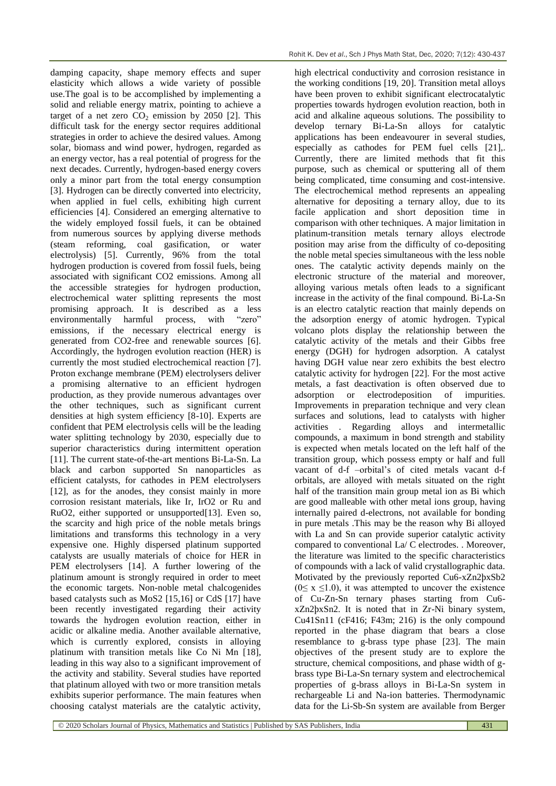damping capacity, shape memory effects and super elasticity which allows a wide variety of possible use.The goal is to be accomplished by implementing a solid and reliable energy matrix, pointing to achieve a target of a net zero  $CO<sub>2</sub>$  emission by 2050 [2]. This difficult task for the energy sector requires additional strategies in order to achieve the desired values. Among solar, biomass and wind power, hydrogen, regarded as an energy vector, has a real potential of progress for the next decades. Currently, hydrogen-based energy covers only a minor part from the total energy consumption [3]. Hydrogen can be directly converted into electricity, when applied in fuel cells, exhibiting high current efficiencies [4]. Considered an emerging alternative to the widely employed fossil fuels, it can be obtained from numerous sources by applying diverse methods (steam reforming, coal gasification, or water electrolysis) [5]. Currently, 96% from the total hydrogen production is covered from fossil fuels, being associated with significant CO2 emissions. Among all the accessible strategies for hydrogen production, electrochemical water splitting represents the most promising approach. It is described as a less environmentally harmful process, with "zero" emissions, if the necessary electrical energy is generated from CO2-free and renewable sources [6]. Accordingly, the hydrogen evolution reaction (HER) is currently the most studied electrochemical reaction [7]. Proton exchange membrane (PEM) electrolysers deliver a promising alternative to an efficient hydrogen production, as they provide numerous advantages over the other techniques, such as significant current densities at high system efficiency [8-10]. Experts are confident that PEM electrolysis cells will be the leading water splitting technology by 2030, especially due to superior characteristics during intermittent operation [11]. The current state-of-the-art mentions Bi-La-Sn. La black and carbon supported Sn nanoparticles as efficient catalysts, for cathodes in PEM electrolysers [12], as for the anodes, they consist mainly in more corrosion resistant materials, like Ir, IrO2 or Ru and RuO2, either supported or unsupported[13]. Even so, the scarcity and high price of the noble metals brings limitations and transforms this technology in a very expensive one. Highly dispersed platinum supported catalysts are usually materials of choice for HER in PEM electrolysers [14]. A further lowering of the platinum amount is strongly required in order to meet the economic targets. Non-noble metal chalcogenides based catalysts such as MoS2 [15,16] or CdS [17] have been recently investigated regarding their activity towards the hydrogen evolution reaction, either in acidic or alkaline media. Another available alternative, which is currently explored, consists in alloying platinum with transition metals like Co Ni Mn [18], leading in this way also to a significant improvement of the activity and stability. Several studies have reported that platinum alloyed with two or more transition metals exhibits superior performance. The main features when choosing catalyst materials are the catalytic activity,

high electrical conductivity and corrosion resistance in the working conditions [19, 20]. Transition metal alloys have been proven to exhibit significant electrocatalytic properties towards hydrogen evolution reaction, both in acid and alkaline aqueous solutions. The possibility to develop ternary Bi-La-Sn alloys for catalytic applications has been endeavourer in several studies, especially as cathodes for PEM fuel cells [21],. Currently, there are limited methods that fit this purpose, such as chemical or sputtering all of them being complicated, time consuming and cost-intensive. The electrochemical method represents an appealing alternative for depositing a ternary alloy, due to its facile application and short deposition time in comparison with other techniques. A major limitation in platinum-transition metals ternary alloys electrode position may arise from the difficulty of co-depositing the noble metal species simultaneous with the less noble ones. The catalytic activity depends mainly on the electronic structure of the material and moreover, alloying various metals often leads to a significant increase in the activity of the final compound. Bi-La-Sn is an electro catalytic reaction that mainly depends on the adsorption energy of atomic hydrogen. Typical volcano plots display the relationship between the catalytic activity of the metals and their Gibbs free energy (DGH) for hydrogen adsorption. A catalyst having DGH value near zero exhibits the best electro catalytic activity for hydrogen [22]. For the most active metals, a fast deactivation is often observed due to adsorption or electrodeposition of impurities. Improvements in preparation technique and very clean surfaces and solutions, lead to catalysts with higher activities . Regarding alloys and intermetallic compounds, a maximum in bond strength and stability is expected when metals located on the left half of the transition group, which possess empty or half and full vacant of d-f –orbital's of cited metals vacant d-f orbitals, are alloyed with metals situated on the right half of the transition main group metal ion as Bi which are good malleable with other metal ions group, having internally paired d-electrons, not available for bonding in pure metals .This may be the reason why Bi alloyed with La and Sn can provide superior catalytic activity compared to conventional La/ C electrodes. . Moreover, the literature was limited to the specific characteristics of compounds with a lack of valid crystallographic data. Motivated by the previously reported Cu6-xZn2þxSb2  $(0 \le x \le 1.0)$ , it was attempted to uncover the existence of Cu-Zn-Sn ternary phases starting from Cu6 xZn2þxSn2. It is noted that in Zr-Ni binary system, Cu41Sn11 (cF416; F43m; 216) is the only compound reported in the phase diagram that bears a close resemblance to g-brass type phase [23]. The main objectives of the present study are to explore the structure, chemical compositions, and phase width of gbrass type Bi-La-Sn ternary system and electrochemical properties of g-brass alloys in Bi-La-Sn system in rechargeable Li and Na-ion batteries. Thermodynamic data for the Li-Sb-Sn system are available from Berger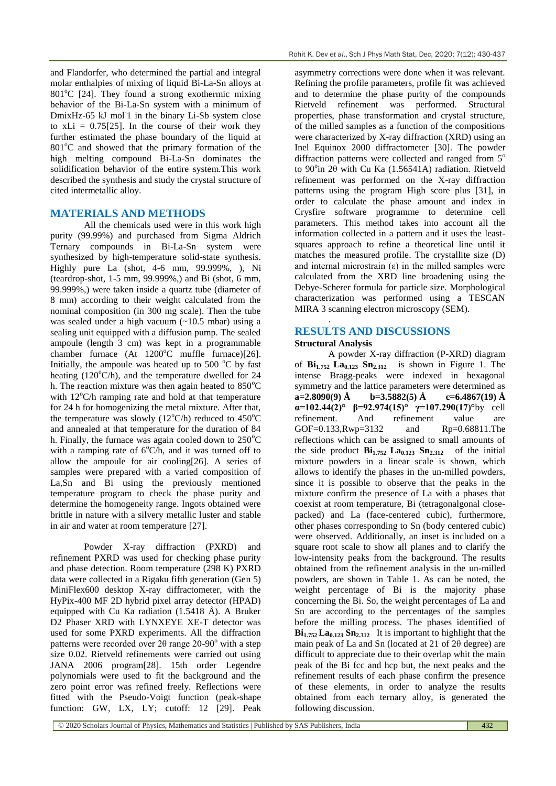and Flandorfer, who determined the partial and integral molar enthalpies of mixing of liquid Bi-La-Sn alloys at  $801^{\circ}$ C [24]. They found a strong exothermic mixing behavior of the Bi-La-Sn system with a minimum of DmixHz-65 kJ mol<sup>1</sup> in the binary Li-Sb system close to  $xLi = 0.75[25]$ . In the course of their work they further estimated the phase boundary of the liquid at 801°C and showed that the primary formation of the high melting compound Bi-La-Sn dominates the solidification behavior of the entire system.This work described the synthesis and study the crystal structure of cited intermetallic alloy.

### **MATERIALS AND METHODS**

All the chemicals used were in this work high purity (99.99%) and purchased from Sigma Aldrich Ternary compounds in Bi-La-Sn system were synthesized by high-temperature solid-state synthesis. Highly pure La (shot, 4-6 mm, 99.999%, ), Ni (teardrop-shot, 1-5 mm, 99.999%,) and Bi (shot, 6 mm, 99.999%,) were taken inside a quartz tube (diameter of 8 mm) according to their weight calculated from the nominal composition (in 300 mg scale). Then the tube was sealed under a high vacuum (~10.5 mbar) using a sealing unit equipped with a diffusion pump. The sealed ampoule (length 3 cm) was kept in a programmable chamber furnace  $(At \ 1200^{\circ}C \ muffle furnace)$ [26]. Initially, the ampoule was heated up to  $500\text{ °C}$  by fast heating  $(120^{\circ}C/h)$ , and the temperature dwelled for 24 h. The reaction mixture was then again heated to  $850^{\circ}$ C with  $12^{\circ}$ C/h ramping rate and hold at that temperature for 24 h for homogenizing the metal mixture. After that, the temperature was slowly (12 $^{\circ}$ C/h) reduced to 450 $^{\circ}$ C and annealed at that temperature for the duration of 84 h. Finally, the furnace was again cooled down to  $250^{\circ}$ C with a ramping rate of  $6^{\circ}C/h$ , and it was turned off to allow the ampoule for air cooling[26]. A series of samples were prepared with a varied composition of La,Sn and Bi using the previously mentioned temperature program to check the phase purity and determine the homogeneity range. Ingots obtained were brittle in nature with a silvery metallic luster and stable in air and water at room temperature [27].

Powder X-ray diffraction (PXRD) and refinement PXRD was used for checking phase purity and phase detection. Room temperature (298 K) PXRD data were collected in a Rigaku fifth generation (Gen 5) MiniFlex600 desktop X-ray diffractometer, with the HyPix-400 MF 2D hybrid pixel array detector (HPAD) equipped with Cu Ka radiation (1.5418 Å). A Bruker D2 Phaser XRD with LYNXEYE XE-T detector was used for some PXRD experiments. All the diffraction patterns were recorded over  $2\theta$  range  $20$ -90 $\degree$  with a step size 0.02. Rietveld refinements were carried out using JANA 2006 program[28]. 15th order Legendre polynomials were used to fit the background and the zero point error was refined freely. Reflections were fitted with the Pseudo-Voigt function (peak-shape function: GW, LX, LY; cutoff: 12 [29]. Peak

asymmetry corrections were done when it was relevant. Refining the profile parameters, profile fit was achieved and to determine the phase purity of the compounds Rietveld refinement was performed. Structural properties, phase transformation and crystal structure, of the milled samples as a function of the compositions were characterized by X-ray diffraction (XRD) using an Inel Equinox 2000 diffractometer [30]. The powder diffraction patterns were collected and ranged from  $5^\circ$ to  $90^\circ$ in  $2\theta$  with Cu Ka (1.56541A) radiation. Rietveld refinement was performed on the X-ray diffraction patterns using the program High score plus [31], in order to calculate the phase amount and index in Crysfire software programme to determine cell parameters. This method takes into account all the information collected in a pattern and it uses the leastsquares approach to refine a theoretical line until it matches the measured profile. The crystallite size (D) and internal microstrain  $(\varepsilon)$  in the milled samples were calculated from the XRD line broadening using the Debye-Scherer formula for particle size. Morphological characterization was performed using a TESCAN MIRA 3 scanning electron microscopy (SEM).

# **RESULTS AND DISCUSSIONS**

#### **Structural Analysis**

.

A powder X-ray diffraction (P-XRD) diagram of  $\mathbf{Bi}_{1.752}$   $\mathbf{La}_{0.123}$   $\mathbf{Sn}_{2.312}$  is shown in Figure 1. The intense Bragg-peaks were indexed in hexagonal symmetry and the lattice parameters were determined as **a=2.8090(9) Å b=3.5882(5) Å c=6.4867(19) Å α=102.44(2)° β=92.974(15)° γ=107.290(17)°**by cell refinement. And refinement value are GOF=0.133,Rwp=3132 and Rp=0.68811.The reflections which can be assigned to small amounts of the side product  $\mathbf{Bi}_{1.752}$   $\mathbf{La}_{0.123}$   $\mathbf{Sn}_{2.312}$  of the initial mixture powders in a linear scale is shown, which allows to identify the phases in the un-milled powders, since it is possible to observe that the peaks in the mixture confirm the presence of La with a phases that coexist at room temperature, Bi (tetragonalgonal closepacked) and La (face-centered cubic), furthermore, other phases corresponding to Sn (body centered cubic) were observed. Additionally, an inset is included on a square root scale to show all planes and to clarify the low-intensity peaks from the background. The results obtained from the refinement analysis in the un-milled powders, are shown in Table 1. As can be noted, the weight percentage of Bi is the majority phase concerning the Bi. So, the weight percentages of La and Sn are according to the percentages of the samples before the milling process. The phases identified of  $\mathbf{Bi}_{1.752}$   $\mathbf{La}_{0.123}$   $\mathbf{Sn}_{2.312}$  It is important to highlight that the main peak of La and Sn (located at 21 of 2θ degree) are difficult to appreciate due to their overlap whit the main peak of the Bi fcc and hcp but, the next peaks and the refinement results of each phase confirm the presence of these elements, in order to analyze the results obtained from each ternary alloy, is generated the following discussion.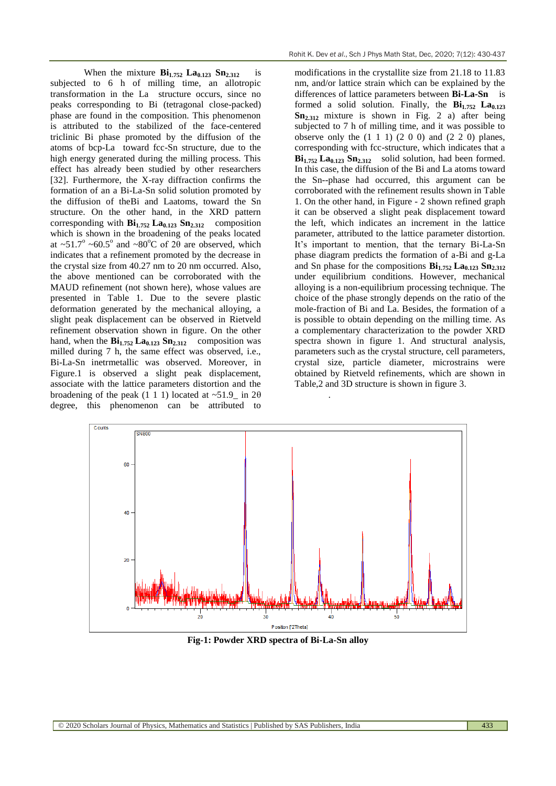When the mixture  $\mathbf{Bi}_{1.752}$   $\mathbf{La}_{0.123}$   $\mathbf{Sn}_{2.312}$  is subjected to 6 h of milling time, an allotropic transformation in the La structure occurs, since no peaks corresponding to Bi (tetragonal close-packed) phase are found in the composition. This phenomenon is attributed to the stabilized of the face-centered triclinic Bi phase promoted by the diffusion of the atoms of bcp-La toward fcc-Sn structure, due to the high energy generated during the milling process. This effect has already been studied by other researchers [32]. Furthermore, the X-ray diffraction confirms the formation of an a Bi-La-Sn solid solution promoted by the diffusion of theBi and Laatoms, toward the Sn structure. On the other hand, in the XRD pattern corresponding with  $\mathbf{Bi}_{1.752}$   $\mathbf{La}_{0.123}$   $\mathbf{Sn}_{2.312}$  composition which is shown in the broadening of the peaks located at ~51.7° ~60.5° and ~80°C of 2 $\theta$  are observed, which indicates that a refinement promoted by the decrease in the crystal size from 40.27 nm to 20 nm occurred. Also, the above mentioned can be corroborated with the MAUD refinement (not shown here), whose values are presented in Table 1. Due to the severe plastic deformation generated by the mechanical alloying, a slight peak displacement can be observed in Rietveld refinement observation shown in figure. On the other hand, when the **Bi1.752 La0.123 Sn2.312** composition was milled during 7 h, the same effect was observed, i.e., Bi-La-Sn inetrmetallic was observed. Moreover, in Figure.1 is observed a slight peak displacement, associate with the lattice parameters distortion and the broadening of the peak  $(1\ 1\ 1)$  located at  $\sim 51.9$  in  $2\theta$ degree, this phenomenon can be attributed to

modifications in the crystallite size from 21.18 to 11.83 nm, and/or lattice strain which can be explained by the differences of lattice parameters between **Bi-La-Sn**  is formed a solid solution. Finally, the **Bi1.752 La0.123 Sn2.312** mixture is shown in Fig. 2 a) after being subjected to 7 h of milling time, and it was possible to observe only the  $(1\ 1\ 1)$   $(2\ 0\ 0)$  and  $(2\ 2\ 0)$  planes, corresponding with fcc-structure, which indicates that a **Bi1.752 La0.123 Sn2.312** solid solution, had been formed. In this case, the diffusion of the Bi and La atoms toward the Sn--phase had occurred, this argument can be corroborated with the refinement results shown in Table 1. On the other hand, in Figure - 2 shown refined graph it can be observed a slight peak displacement toward the left, which indicates an increment in the lattice parameter, attributed to the lattice parameter distortion. It's important to mention, that the ternary Bi-La-Sn phase diagram predicts the formation of a-Bi and g-La and Sn phase for the compositions  $\mathbf{Bi}_{1.752}$   $\mathbf{La}_{0.123}$   $\mathbf{Sn}_{2.312}$ under equilibrium conditions. However, mechanical alloying is a non-equilibrium processing technique. The choice of the phase strongly depends on the ratio of the mole-fraction of Bi and La. Besides, the formation of a is possible to obtain depending on the milling time. As a complementary characterization to the powder XRD spectra shown in figure 1. And structural analysis, parameters such as the crystal structure, cell parameters, crystal size, particle diameter, microstrains were obtained by Rietveld refinements, which are shown in Table,2 and 3D structure is shown in figure 3.



.

**Fig-1: Powder XRD spectra of Bi-La-Sn alloy**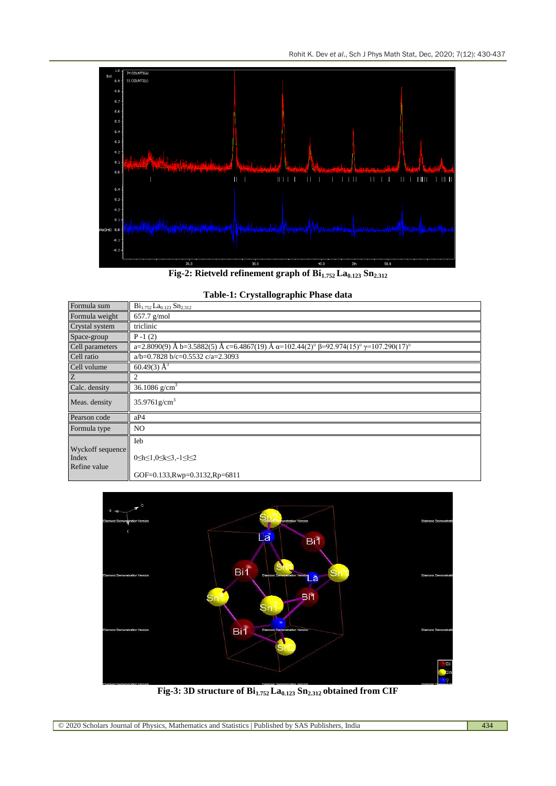

**Fig-2: Rietveld refinement graph of Bi1.752 La0.123 Sn2.312**

| Formula sum                               | $Bi_{1.752}$ La <sub>0.123</sub> Sn <sub>2.312</sub>                                                        |
|-------------------------------------------|-------------------------------------------------------------------------------------------------------------|
| Formula weight                            | $657.7$ g/mol                                                                                               |
| Crystal system                            | triclinic                                                                                                   |
| Space-group                               | $P - 1(2)$                                                                                                  |
| Cell parameters                           | a=2.8090(9) Å b=3.5882(5) Å c=6.4867(19) Å $\alpha$ =102.44(2)° $\beta$ =92.974(15)° $\gamma$ =107.290(17)° |
| Cell ratio                                | $a/b=0.7828 b/c=0.5532 c/a=2.3093$                                                                          |
| Cell volume                               | 60.49(3) $\AA^3$                                                                                            |
| Z                                         | 2                                                                                                           |
| Calc. density                             | 36.1086 $g/cm3$                                                                                             |
| Meas. density                             | $35.9761$ g/cm <sup>3</sup>                                                                                 |
| Pearson code                              | aP4                                                                                                         |
| Formula type                              | NO.                                                                                                         |
|                                           | Ieb                                                                                                         |
| Wyckoff sequence<br>Index<br>Refine value | $0 \le h \le 1, 0 \le k \le 3, -1 \le l \le 2$                                                              |
|                                           | GOF=0.133, Rwp=0.3132, Rp=6811                                                                              |





**Fig-3: 3D structure of Bi1.752 La0.123 Sn2.312 obtained from CIF**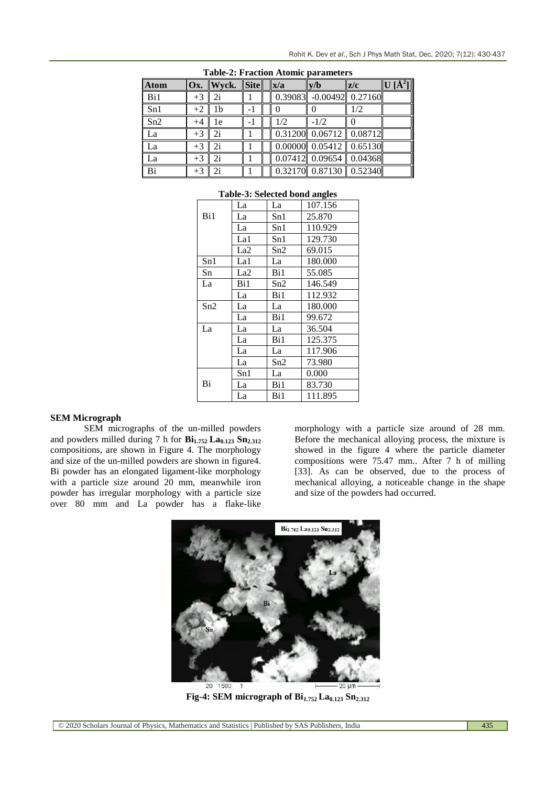| <b>Atom</b>     |      | $Ox.$ Wyck. | <b>Site</b> | x/a | v/b                                  | z/c | U [A <sup>2</sup> ] |
|-----------------|------|-------------|-------------|-----|--------------------------------------|-----|---------------------|
| Bi1             | $+3$ | 2i          |             |     | $0.39083$ -0.00492 0.27160           |     |                     |
| Sn1             | $+2$ | 1b          |             |     |                                      | 1/2 |                     |
| Sn2             | $+4$ | 1e          |             | 1/2 | $-1/2$                               |     |                     |
| La              | $+3$ | 2i          |             |     | $0.31200$ $0.06712$ $0.08712$        |     |                     |
| La              | $+3$ | 2i          |             |     | $0.00000$ $0.05412$ $0.65130$        |     |                     |
| La              | $+3$ | 2i          |             |     | $\overline{0.07}412$ 0.09654 0.04368 |     |                     |
| $\overline{Bi}$ | $+3$ | 2i          |             |     | $0.32170$ 0.87130 0.52340            |     |                     |

| <b>Table-2: Fraction Atomic parameters</b> |  |
|--------------------------------------------|--|
|--------------------------------------------|--|

#### **Table-3: Selected bond angles**

|     | La              | La  | 107.156 |
|-----|-----------------|-----|---------|
| Bi1 | La              | Sn1 | 25.870  |
|     | La              | Sn1 | 110.929 |
|     | La1             | Sn1 | 129.730 |
|     | La <sub>2</sub> | Sn2 | 69.015  |
| Sn1 | La1             | La  | 180.000 |
| Sn  | La2             | Bi1 | 55.085  |
| La  | Bi1             | Sn2 | 146.549 |
|     | La              | Bi1 | 112.932 |
| Sn2 | La              | La  | 180.000 |
|     | La              | Bi1 | 99.672  |
| La  | La              | La  | 36.504  |
|     | La              | Bi1 | 125.375 |
|     | La              | La  | 117.906 |
|     | La              | Sn2 | 73.980  |
|     | Sn1             | La  | 0.000   |
| Bi  | La              | Bi1 | 83.730  |
|     | La              | Bi1 | 111.895 |

#### **SEM Micrograph**

SEM micrographs of the un-milled powders and powders milled during 7 h for **Bi1.752 La0.123 Sn2.312**  compositions, are shown in Figure 4. The morphology and size of the un-milled powders are shown in figure4. Bi powder has an elongated ligament-like morphology with a particle size around 20 mm, meanwhile iron powder has irregular morphology with a particle size over 80 mm and La powder has a flake-like

morphology with a particle size around of 28 mm. Before the mechanical alloying process, the mixture is showed in the figure 4 where the particle diameter compositions were 75.47 mm.. After 7 h of milling [33]. As can be observed, due to the process of mechanical alloying, a noticeable change in the shape and size of the powders had occurred.



**Fig-4: SEM micrograph of Bi1.752 La0.123 Sn2.312**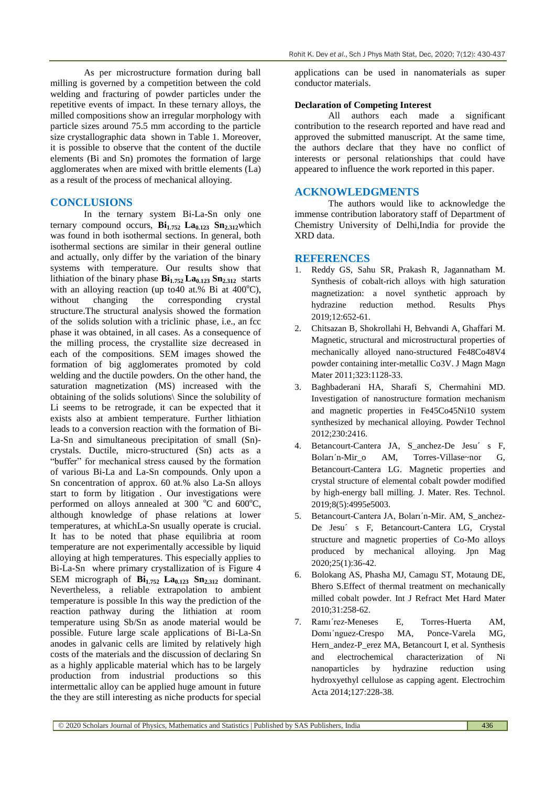As per microstructure formation during ball milling is governed by a competition between the cold welding and fracturing of powder particles under the repetitive events of impact. In these ternary alloys, the milled compositions show an irregular morphology with particle sizes around 75.5 mm according to the particle size crystallographic data shown in Table 1. Moreover, it is possible to observe that the content of the ductile elements (Bi and Sn) promotes the formation of large agglomerates when are mixed with brittle elements (La) as a result of the process of mechanical alloying.

### **CONCLUSIONS**

In the ternary system Bi-La-Sn only one ternary compound occurs,  $\mathbf{Bi}_{1.752}$   $\mathbf{La}_{0.123}$   $\mathbf{Sn}_{2.312}$ which was found in both isothermal sections. In general, both isothermal sections are similar in their general outline and actually, only differ by the variation of the binary systems with temperature. Our results show that lithiation of the binary phase **Bi1.752 La0.123 Sn2.312** starts with an alloying reaction (up to 40 at.% Bi at  $400^{\circ}$ C), without changing the corresponding crystal structure.The structural analysis showed the formation of the solids solution with a triclinic phase, i.e., an fcc phase it was obtained, in all cases. As a consequence of the milling process, the crystallite size decreased in each of the compositions. SEM images showed the formation of big agglomerates promoted by cold welding and the ductile powders. On the other hand, the saturation magnetization (MS) increased with the obtaining of the solids solutions\ Since the solubility of Li seems to be retrograde, it can be expected that it exists also at ambient temperature. Further lithiation leads to a conversion reaction with the formation of Bi-La-Sn and simultaneous precipitation of small (Sn) crystals. Ductile, micro-structured (Sn) acts as a "buffer" for mechanical stress caused by the formation of various Bi-La and La-Sn compounds. Only upon a Sn concentration of approx. 60 at.% also La-Sn alloys start to form by litigation . Our investigations were performed on alloys annealed at 300  $^{\circ}$ C and 600 $^{\circ}$ C, although knowledge of phase relations at lower temperatures, at whichLa-Sn usually operate is crucial. It has to be noted that phase equilibria at room temperature are not experimentally accessible by liquid alloying at high temperatures. This especially applies to Bi-La-Sn where primary crystallization of is Figure 4 SEM micrograph of  $\mathbf{Bi}_{1.752}$   $\mathbf{La}_{0.123}$   $\mathbf{Sn}_{2.312}$  dominant. Nevertheless, a reliable extrapolation to ambient temperature is possible In this way the prediction of the reaction pathway during the lithiation at room temperature using Sb/Sn as anode material would be possible. Future large scale applications of Bi-La-Sn anodes in galvanic cells are limited by relatively high costs of the materials and the discussion of declaring Sn as a highly applicable material which has to be largely production from industrial productions so this intermettalic alloy can be applied huge amount in future the they are still interesting as niche products for special

applications can be used in nanomaterials as super conductor materials.

#### **Declaration of Competing Interest**

All authors each made a significant contribution to the research reported and have read and approved the submitted manuscript. At the same time, the authors declare that they have no conflict of interests or personal relationships that could have appeared to influence the work reported in this paper.

### **ACKNOWLEDGMENTS**

The authors would like to acknowledge the immense contribution laboratory staff of Department of Chemistry University of Delhi,India for provide the XRD data.

#### **REFERENCES**

- 1. Reddy GS, Sahu SR, Prakash R, Jagannatham M. Synthesis of cobalt-rich alloys with high saturation magnetization: a novel synthetic approach by hydrazine reduction method. Results Phys 2019;12:652-61.
- 2. Chitsazan B, Shokrollahi H, Behvandi A, Ghaffari M. Magnetic, structural and microstructural properties of mechanically alloyed nano-structured Fe48Co48V4 powder containing inter-metallic Co3V. J Magn Magn Mater 2011:323:1128-33.
- 3. Baghbaderani HA, Sharafi S, Chermahini MD. Investigation of nanostructure formation mechanism and magnetic properties in Fe45Co45Ni10 system synthesized by mechanical alloying. Powder Technol 2012;230:2416.
- 4. Betancourt-Cantera JA, S\_anchez-De Jesu´ s F, Boları'n-Mir o AM, Torres-Villase~nor G, Betancourt-Cantera LG. Magnetic properties and crystal structure of elemental cobalt powder modified by high-energy ball milling. J. Mater. Res. Technol. 2019;8(5):4995e5003.
- 5. Betancourt-Cantera JA, Boları´n-Mir. AM, S\_anchez-De Jesu´ s F, Betancourt-Cantera LG, Crystal structure and magnetic properties of Co-Mo alloys produced by mechanical alloying. Jpn Mag 2020;25(1):36-42.
- 6. Bolokang AS, Phasha MJ, Camagu ST, Motaung DE, Bhero S.Effect of thermal treatment on mechanically milled cobalt powder. Int J Refract Met Hard Mater 2010;31:258-62.
- 7. Ramı´rez-Meneses E, Torres-Huerta AM, Domı´nguez-Crespo MA, Ponce-Varela MG, Hern\_andez-P\_erez MA, Betancourt I, et al. Synthesis and electrochemical characterization of Ni nanoparticles by hydrazine reduction using hydroxyethyl cellulose as capping agent. Electrochim Acta 2014;127:228-38.

© 2020 Scholars Journal of Physics, Mathematics and Statistics | Published by SAS Publishers, India 436